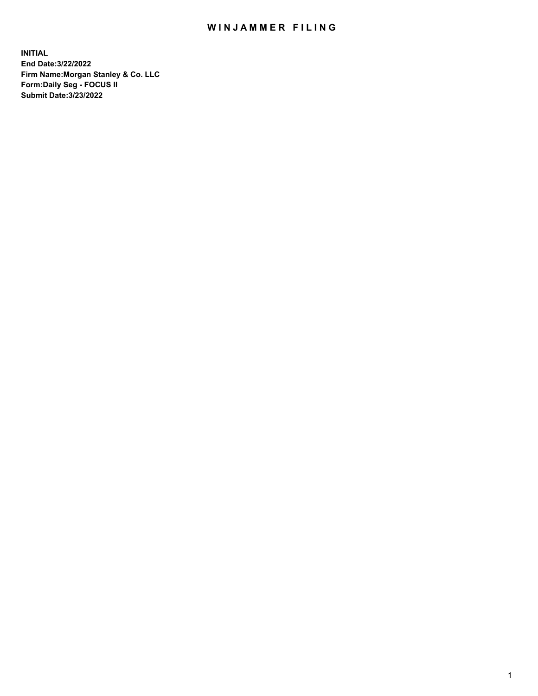## WIN JAMMER FILING

**INITIAL End Date:3/22/2022 Firm Name:Morgan Stanley & Co. LLC Form:Daily Seg - FOCUS II Submit Date:3/23/2022**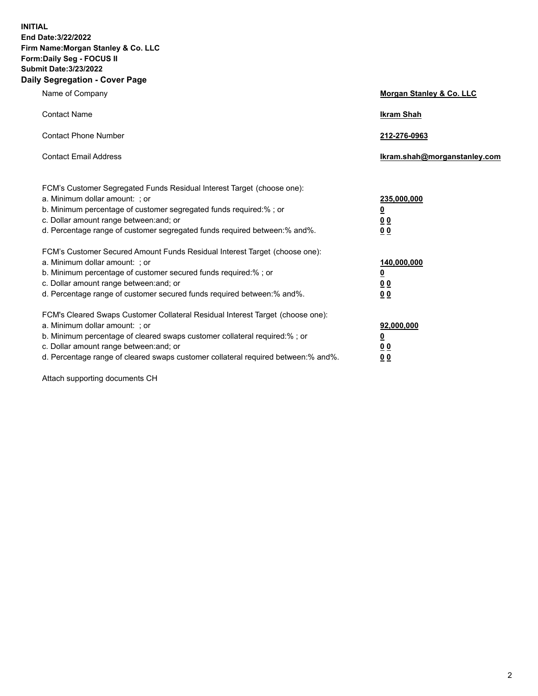**INITIAL End Date:3/22/2022 Firm Name:Morgan Stanley & Co. LLC Form:Daily Seg - FOCUS II Submit Date:3/23/2022 Daily Segregation - Cover Page**

| Name of Company                                                                                                                                                                                                                                                                                                                | Morgan Stanley & Co. LLC                               |
|--------------------------------------------------------------------------------------------------------------------------------------------------------------------------------------------------------------------------------------------------------------------------------------------------------------------------------|--------------------------------------------------------|
| <b>Contact Name</b>                                                                                                                                                                                                                                                                                                            | <b>Ikram Shah</b>                                      |
| <b>Contact Phone Number</b>                                                                                                                                                                                                                                                                                                    | 212-276-0963                                           |
| <b>Contact Email Address</b>                                                                                                                                                                                                                                                                                                   | Ikram.shah@morganstanley.com                           |
| FCM's Customer Segregated Funds Residual Interest Target (choose one):<br>a. Minimum dollar amount: ; or<br>b. Minimum percentage of customer segregated funds required:% ; or<br>c. Dollar amount range between: and; or<br>d. Percentage range of customer segregated funds required between:% and%.                         | 235,000,000<br><u>0</u><br>0 <sup>0</sup><br><u>00</u> |
| FCM's Customer Secured Amount Funds Residual Interest Target (choose one):<br>a. Minimum dollar amount: ; or<br>b. Minimum percentage of customer secured funds required:% ; or<br>c. Dollar amount range between: and; or<br>d. Percentage range of customer secured funds required between:% and%.                           | 140,000,000<br><u>0</u><br><u>00</u><br>00             |
| FCM's Cleared Swaps Customer Collateral Residual Interest Target (choose one):<br>a. Minimum dollar amount: ; or<br>b. Minimum percentage of cleared swaps customer collateral required:% ; or<br>c. Dollar amount range between: and; or<br>d. Percentage range of cleared swaps customer collateral required between:% and%. | 92,000,000<br><u>0</u><br><u>00</u><br>00              |

Attach supporting documents CH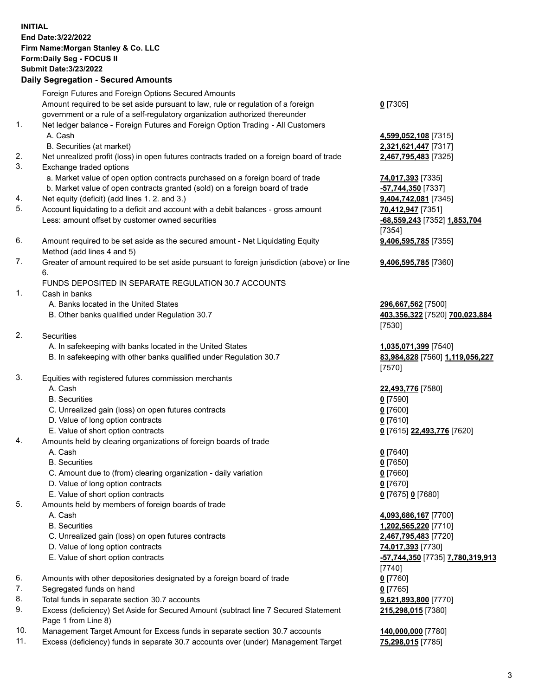## **INITIAL End Date:3/22/2022 Firm Name:Morgan Stanley & Co. LLC Form:Daily Seg - FOCUS II Submit Date:3/23/2022 Daily Segregation - Secured Amounts** Foreign Futures and Foreign Options Secured Amounts Amount required to be set aside pursuant to law, rule or regulation of a foreign government or a rule of a self-regulatory organization authorized thereunder **0** [7305] 1. Net ledger balance - Foreign Futures and Foreign Option Trading - All Customers A. Cash **4,599,052,108** [7315] B. Securities (at market) **2,321,621,447** [7317] 2. Net unrealized profit (loss) in open futures contracts traded on a foreign board of trade **2,467,795,483** [7325] 3. Exchange traded options a. Market value of open option contracts purchased on a foreign board of trade **74,017,393** [7335] b. Market value of open contracts granted (sold) on a foreign board of trade **-57,744,350** [7337] 4. Net equity (deficit) (add lines 1. 2. and 3.) **9,404,742,081** [7345] 5. Account liquidating to a deficit and account with a debit balances - gross amount **70,412,947** [7351] Less: amount offset by customer owned securities **-68,559,243** [7352] **1,853,704** [7354] 6. Amount required to be set aside as the secured amount - Net Liquidating Equity Method (add lines 4 and 5) **9,406,595,785** [7355] 7. Greater of amount required to be set aside pursuant to foreign jurisdiction (above) or line 6. **9,406,595,785** [7360] FUNDS DEPOSITED IN SEPARATE REGULATION 30.7 ACCOUNTS 1. Cash in banks A. Banks located in the United States **296,667,562** [7500] B. Other banks qualified under Regulation 30.7 **403,356,322** [7520] **700,023,884** [7530] 2. Securities A. In safekeeping with banks located in the United States **1,035,071,399** [7540] B. In safekeeping with other banks qualified under Regulation 30.7 **83,984,828** [7560] **1,119,056,227** [7570] 3. Equities with registered futures commission merchants A. Cash **22,493,776** [7580] B. Securities **0** [7590] C. Unrealized gain (loss) on open futures contracts **0** [7600] D. Value of long option contracts **0** [7610] E. Value of short option contracts **0** [7615] **22,493,776** [7620] 4. Amounts held by clearing organizations of foreign boards of trade A. Cash **0** [7640] B. Securities **0** [7650] C. Amount due to (from) clearing organization - daily variation **0** [7660] D. Value of long option contracts **0** [7670] E. Value of short option contracts **0** [7675] **0** [7680] 5. Amounts held by members of foreign boards of trade A. Cash **4,093,686,167** [7700] B. Securities **1,202,565,220** [7710] C. Unrealized gain (loss) on open futures contracts **2,467,795,483** [7720] D. Value of long option contracts **74,017,393** [7730] E. Value of short option contracts **-57,744,350** [7735] **7,780,319,913** [7740] 6. Amounts with other depositories designated by a foreign board of trade **0** [7760] 7. Segregated funds on hand **0** [7765] 8. Total funds in separate section 30.7 accounts **9,621,893,800** [7770] **215,298,015** [7380]

- 9. Excess (deficiency) Set Aside for Secured Amount (subtract line 7 Secured Statement Page 1 from Line 8)
- 10. Management Target Amount for Excess funds in separate section 30.7 accounts **140,000,000** [7780]
- 11. Excess (deficiency) funds in separate 30.7 accounts over (under) Management Target **75,298,015** [7785]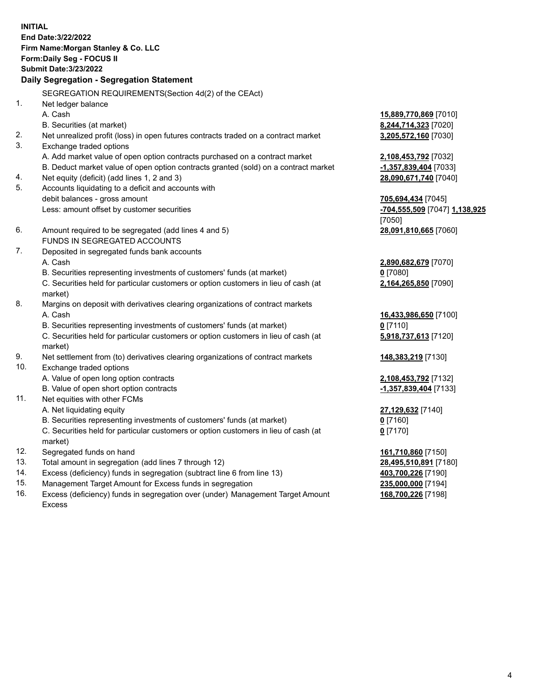**INITIAL End Date:3/22/2022 Firm Name:Morgan Stanley & Co. LLC Form:Daily Seg - FOCUS II Submit Date:3/23/2022 Daily Segregation - Segregation Statement** SEGREGATION REQUIREMENTS(Section 4d(2) of the CEAct) 1. Net ledger balance A. Cash **15,889,770,869** [7010] B. Securities (at market) **8,244,714,323** [7020] 2. Net unrealized profit (loss) in open futures contracts traded on a contract market **3,205,572,160** [7030] 3. Exchange traded options A. Add market value of open option contracts purchased on a contract market **2,108,453,792** [7032] B. Deduct market value of open option contracts granted (sold) on a contract market **-1,357,839,404** [7033] 4. Net equity (deficit) (add lines 1, 2 and 3) **28,090,671,740** [7040] 5. Accounts liquidating to a deficit and accounts with debit balances - gross amount **705,694,434** [7045] Less: amount offset by customer securities **-704,555,509** [7047] **1,138,925** [7050] 6. Amount required to be segregated (add lines 4 and 5) **28,091,810,665** [7060] FUNDS IN SEGREGATED ACCOUNTS 7. Deposited in segregated funds bank accounts A. Cash **2,890,682,679** [7070] B. Securities representing investments of customers' funds (at market) **0** [7080] C. Securities held for particular customers or option customers in lieu of cash (at market) **2,164,265,850** [7090] 8. Margins on deposit with derivatives clearing organizations of contract markets A. Cash **16,433,986,650** [7100] B. Securities representing investments of customers' funds (at market) **0** [7110] C. Securities held for particular customers or option customers in lieu of cash (at market) **5,918,737,613** [7120] 9. Net settlement from (to) derivatives clearing organizations of contract markets **148,383,219** [7130] 10. Exchange traded options A. Value of open long option contracts **2,108,453,792** [7132] B. Value of open short option contracts **-1,357,839,404** [7133] 11. Net equities with other FCMs A. Net liquidating equity **27,129,632** [7140] B. Securities representing investments of customers' funds (at market) **0** [7160] C. Securities held for particular customers or option customers in lieu of cash (at market) **0** [7170] 12. Segregated funds on hand **161,710,860** [7150] 13. Total amount in segregation (add lines 7 through 12) **28,495,510,891** [7180] 14. Excess (deficiency) funds in segregation (subtract line 6 from line 13) **403,700,226** [7190] 15. Management Target Amount for Excess funds in segregation **235,000,000** [7194]

16. Excess (deficiency) funds in segregation over (under) Management Target Amount Excess

**168,700,226** [7198]